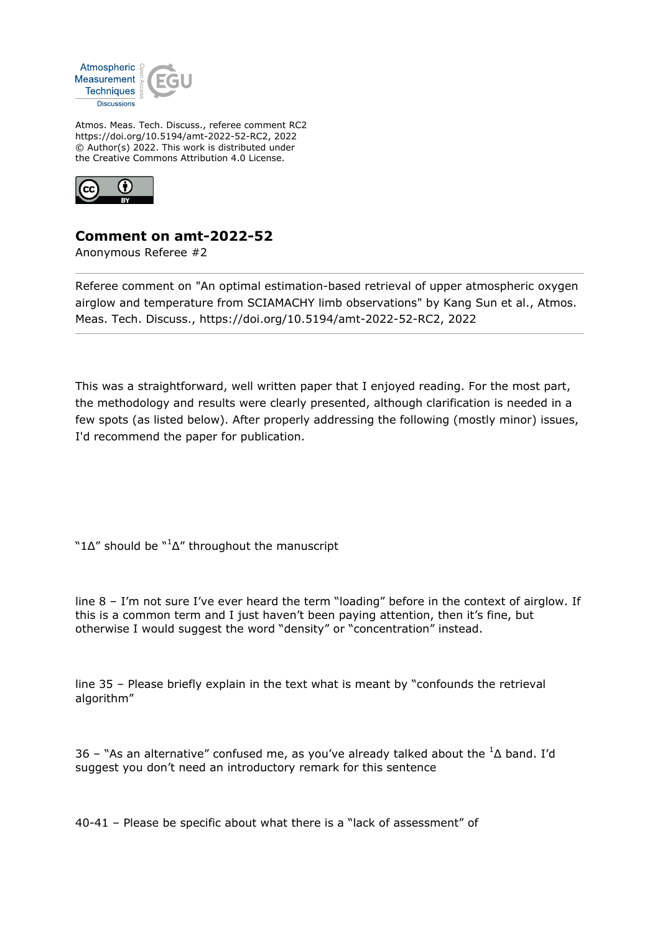

Atmos. Meas. Tech. Discuss., referee comment RC2 https://doi.org/10.5194/amt-2022-52-RC2, 2022 © Author(s) 2022. This work is distributed under the Creative Commons Attribution 4.0 License.



## **Comment on amt-2022-52**

Anonymous Referee #2

Referee comment on "An optimal estimation-based retrieval of upper atmospheric oxygen airglow and temperature from SCIAMACHY limb observations" by Kang Sun et al., Atmos. Meas. Tech. Discuss., https://doi.org/10.5194/amt-2022-52-RC2, 2022

This was a straightforward, well written paper that I enjoyed reading. For the most part, the methodology and results were clearly presented, although clarification is needed in a few spots (as listed below). After properly addressing the following (mostly minor) issues, I'd recommend the paper for publication.

" $1\Delta$ " should be " ${}^{1}\Delta$ " throughout the manuscript

line 8 – I'm not sure I've ever heard the term "loading" before in the context of airglow. If this is a common term and I just haven't been paying attention, then it's fine, but otherwise I would suggest the word "density" or "concentration" instead.

line 35 – Please briefly explain in the text what is meant by "confounds the retrieval algorithm"

36 – "As an alternative" confused me, as you've already talked about the  ${}^{1}\Delta$  band. I'd suggest you don't need an introductory remark for this sentence

40-41 – Please be specific about what there is a "lack of assessment" of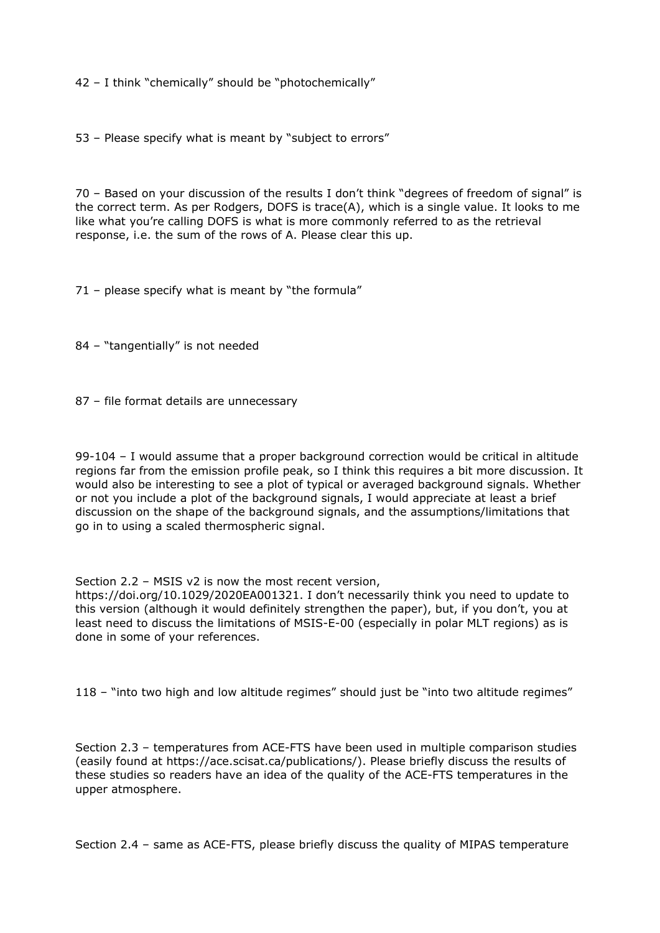42 – I think "chemically" should be "photochemically"

53 – Please specify what is meant by "subject to errors"

70 – Based on your discussion of the results I don't think "degrees of freedom of signal" is the correct term. As per Rodgers, DOFS is trace(A), which is a single value. It looks to me like what you're calling DOFS is what is more commonly referred to as the retrieval response, i.e. the sum of the rows of A. Please clear this up.

71 – please specify what is meant by "the formula"

84 – "tangentially" is not needed

87 – file format details are unnecessary

99-104 – I would assume that a proper background correction would be critical in altitude regions far from the emission profile peak, so I think this requires a bit more discussion. It would also be interesting to see a plot of typical or averaged background signals. Whether or not you include a plot of the background signals, I would appreciate at least a brief discussion on the shape of the background signals, and the assumptions/limitations that go in to using a scaled thermospheric signal.

Section 2.2 – MSIS v2 is now the most recent version,

https://doi.org/10.1029/2020EA001321. I don't necessarily think you need to update to this version (although it would definitely strengthen the paper), but, if you don't, you at least need to discuss the limitations of MSIS-E-00 (especially in polar MLT regions) as is done in some of your references.

118 – "into two high and low altitude regimes" should just be "into two altitude regimes"

Section 2.3 – temperatures from ACE-FTS have been used in multiple comparison studies (easily found at https://ace.scisat.ca/publications/). Please briefly discuss the results of these studies so readers have an idea of the quality of the ACE-FTS temperatures in the upper atmosphere.

Section 2.4 – same as ACE-FTS, please briefly discuss the quality of MIPAS temperature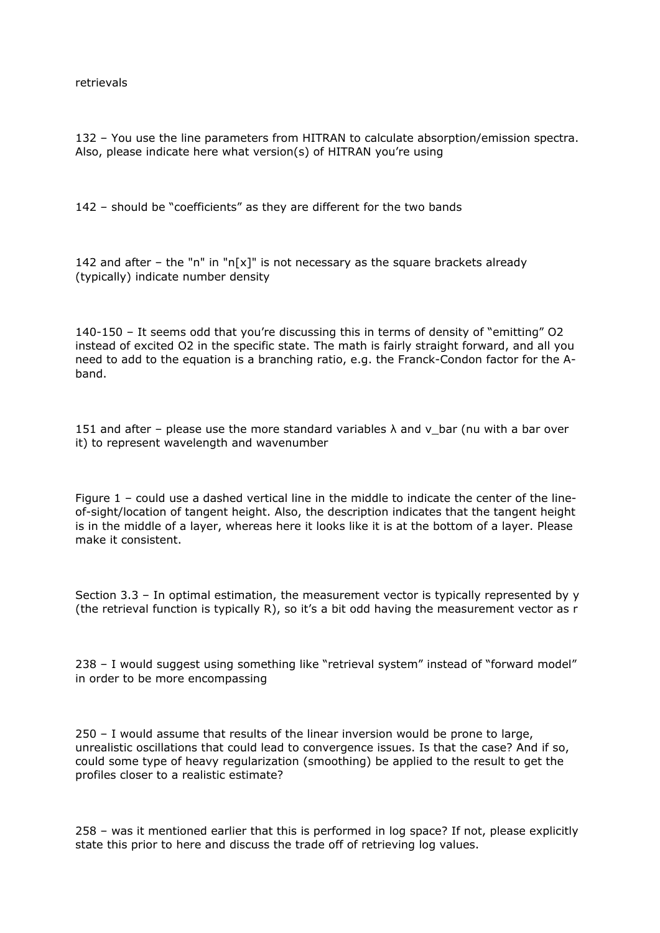retrievals

132 – You use the line parameters from HITRAN to calculate absorption/emission spectra. Also, please indicate here what version(s) of HITRAN you're using

142 – should be "coefficients" as they are different for the two bands

142 and after – the "n" in "n[x]" is not necessary as the square brackets already (typically) indicate number density

140-150 – It seems odd that you're discussing this in terms of density of "emitting" O2 instead of excited O2 in the specific state. The math is fairly straight forward, and all you need to add to the equation is a branching ratio, e.g. the Franck-Condon factor for the Aband.

151 and after – please use the more standard variables  $\lambda$  and v\_bar (nu with a bar over it) to represent wavelength and wavenumber

Figure 1 – could use a dashed vertical line in the middle to indicate the center of the lineof-sight/location of tangent height. Also, the description indicates that the tangent height is in the middle of a layer, whereas here it looks like it is at the bottom of a layer. Please make it consistent.

Section 3.3 – In optimal estimation, the measurement vector is typically represented by y (the retrieval function is typically R), so it's a bit odd having the measurement vector as r

238 – I would suggest using something like "retrieval system" instead of "forward model" in order to be more encompassing

250 – I would assume that results of the linear inversion would be prone to large, unrealistic oscillations that could lead to convergence issues. Is that the case? And if so, could some type of heavy regularization (smoothing) be applied to the result to get the profiles closer to a realistic estimate?

258 – was it mentioned earlier that this is performed in log space? If not, please explicitly state this prior to here and discuss the trade off of retrieving log values.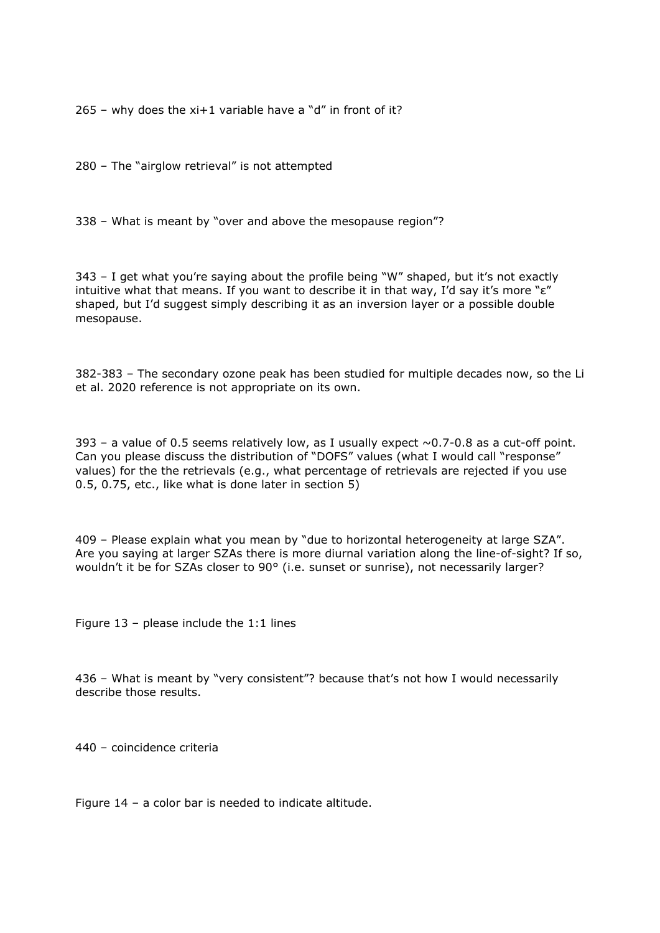$265$  – why does the xi+1 variable have a "d" in front of it?

280 – The "airglow retrieval" is not attempted

338 – What is meant by "over and above the mesopause region"?

343 – I get what you're saying about the profile being "W" shaped, but it's not exactly intuitive what that means. If you want to describe it in that way, I'd say it's more "ε" shaped, but I'd suggest simply describing it as an inversion layer or a possible double mesopause.

382-383 – The secondary ozone peak has been studied for multiple decades now, so the Li et al. 2020 reference is not appropriate on its own.

393 – a value of 0.5 seems relatively low, as I usually expect  $\sim$  0.7-0.8 as a cut-off point. Can you please discuss the distribution of "DOFS" values (what I would call "response" values) for the the retrievals (e.g., what percentage of retrievals are rejected if you use 0.5, 0.75, etc., like what is done later in section 5)

409 – Please explain what you mean by "due to horizontal heterogeneity at large SZA". Are you saying at larger SZAs there is more diurnal variation along the line-of-sight? If so, wouldn't it be for SZAs closer to 90° (i.e. sunset or sunrise), not necessarily larger?

Figure  $13$  – please include the  $1:1$  lines

436 – What is meant by "very consistent"? because that's not how I would necessarily describe those results.

440 – coincidence criteria

Figure 14 – a color bar is needed to indicate altitude.